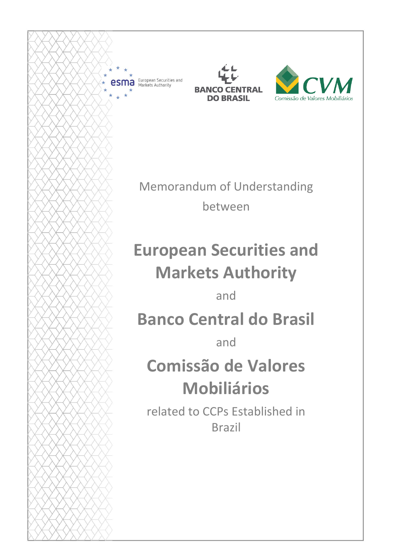

European Securities and **a** European Securitie





Memorandum of Understanding between

# **European Securities and Markets Authority**

and

# **Banco Central do Brasil**

and

# **Comissão de Valores Mobiliários**

related to CCPs Established in Brazil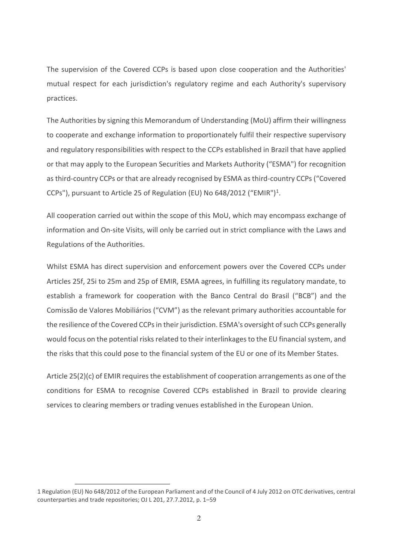The supervision of the Covered CCPs is based upon close cooperation and the Authorities' mutual respect for each jurisdiction's regulatory regime and each Authority's supervisory practices.

The Authorities by signing this Memorandum of Understanding (MoU) affirm their willingness to cooperate and exchange information to proportionately fulfil their respective supervisory and regulatory responsibilities with respect to the CCPs established in Brazil that have applied or that may apply to the European Securities and Markets Authority ("ESMA") for recognition as third-country CCPs or that are already recognised by ESMA as third-country CCPs ("Covered CCPs"), pursuant to Article 25 of Regulation (EU) No 648/2012 ("EMIR")<sup>1</sup>.

All cooperation carried out within the scope of this MoU, which may encompass exchange of information and On-site Visits, will only be carried out in strict compliance with the Laws and Regulations of the Authorities.

Whilst ESMA has direct supervision and enforcement powers over the Covered CCPs under Articles 25f, 25i to 25m and 25p of EMIR, ESMA agrees, in fulfilling its regulatory mandate, to establish a framework for cooperation with the Banco Central do Brasil ("BCB") and the Comissão de Valores Mobiliários ("CVM") as the relevant primary authorities accountable for the resilience of the Covered CCPs in their jurisdiction. ESMA's oversight of such CCPs generally would focus on the potential risks related to their interlinkages to the EU financial system, and the risks that this could pose to the financial system of the EU or one of its Member States.

Article 25(2)(c) of EMIR requires the establishment of cooperation arrangements as one of the conditions for ESMA to recognise Covered CCPs established in Brazil to provide clearing services to clearing members or trading venues established in the European Union.

<sup>1</sup> Regulation (EU) No 648/2012 of the European Parliament and of the Council of 4 July 2012 on OTC derivatives, central counterparties and trade repositories; OJ L 201, 27.7.2012, p. 1–59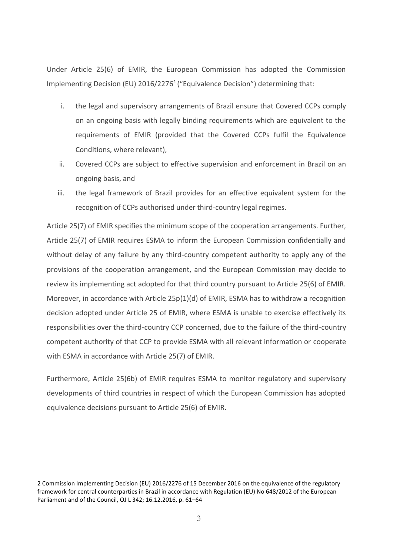Under Article 25(6) of EMIR, the European Commission has adopted the Commission Implementing Decision (EU) 2016/2276<sup>2</sup> ("Equivalence Decision") determining that:

- i. the legal and supervisory arrangements of Brazil ensure that Covered CCPs comply on an ongoing basis with legally binding requirements which are equivalent to the requirements of EMIR (provided that the Covered CCPs fulfil the Equivalence Conditions, where relevant),
- ii. Covered CCPs are subject to effective supervision and enforcement in Brazil on an ongoing basis, and
- iii. the legal framework of Brazil provides for an effective equivalent system for the recognition of CCPs authorised under third-country legal regimes.

Article 25(7) of EMIR specifies the minimum scope of the cooperation arrangements. Further, Article 25(7) of EMIR requires ESMA to inform the European Commission confidentially and without delay of any failure by any third-country competent authority to apply any of the provisions of the cooperation arrangement, and the European Commission may decide to review its implementing act adopted for that third country pursuant to Article 25(6) of EMIR. Moreover, in accordance with Article 25p(1)(d) of EMIR, ESMA has to withdraw a recognition decision adopted under Article 25 of EMIR, where ESMA is unable to exercise effectively its responsibilities over the third-country CCP concerned, due to the failure of the third-country competent authority of that CCP to provide ESMA with all relevant information or cooperate with ESMA in accordance with Article 25(7) of EMIR.

Furthermore, Article 25(6b) of EMIR requires ESMA to monitor regulatory and supervisory developments of third countries in respect of which the European Commission has adopted equivalence decisions pursuant to Article 25(6) of EMIR.

<sup>2</sup> Commission Implementing Decision (EU) 2016/2276 of 15 December 2016 on the equivalence of the regulatory framework for central counterparties in Brazil in accordance with Regulation (EU) No 648/2012 of the European Parliament and of the Council, OJ L 342; 16.12.2016, p. 61–64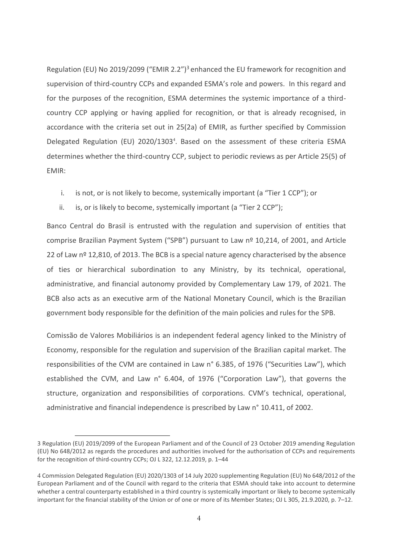Regulation (EU) No 2019/2099 ("EMIR 2.2")<sup>3</sup> enhanced the EU framework for recognition and supervision of third-country CCPs and expanded ESMA's role and powers. In this regard and for the purposes of the recognition, ESMA determines the systemic importance of a thirdcountry CCP applying or having applied for recognition, or that is already recognised, in accordance with the criteria set out in 25(2a) of EMIR, as further specified by Commission Delegated Regulation (EU) 2020/1303<sup>4</sup>. Based on the assessment of these criteria ESMA determines whether the third-country CCP, subject to periodic reviews as per Article 25(5) of EMIR:

- i. is not, or is not likely to become, systemically important (a "Tier 1 CCP"); or
- ii. is, or is likely to become, systemically important (a "Tier 2 CCP");

Banco Central do Brasil is entrusted with the regulation and supervision of entities that comprise Brazilian Payment System ("SPB") pursuant to Law nº 10,214, of 2001, and Article 22 of Law  $n^{\circ}$  12,810, of 2013. The BCB is a special nature agency characterised by the absence of ties or hierarchical subordination to any Ministry, by its technical, operational, administrative, and financial autonomy provided by Complementary Law 179, of 2021. The BCB also acts as an executive arm of the National Monetary Council, which is the Brazilian government body responsible for the definition of the main policies and rules for the SPB.

Comissão de Valores Mobiliários is an independent federal agency linked to the Ministry of Economy, responsible for the regulation and supervision of the Brazilian capital market. The responsibilities of the CVM are contained in Law n° 6.385, of 1976 ("Securities Law"), which established the CVM, and Law n° 6.404, of 1976 ("Corporation Law"), that governs the structure, organization and responsibilities of corporations. CVM's technical, operational, administrative and financial independence is prescribed by Law n° 10.411, of 2002.

<sup>3</sup> Regulation (EU) 2019/2099 of the European Parliament and of the Council of 23 October 2019 amending Regulation (EU) No 648/2012 as regards the procedures and authorities involved for the authorisation of CCPs and requirements for the recognition of third-country CCPs; OJ L 322, 12.12.2019, p. 1–44

<sup>4</sup> Commission Delegated Regulation (EU) 2020/1303 of 14 July 2020 supplementing Regulation (EU) No 648/2012 of the European Parliament and of the Council with regard to the criteria that ESMA should take into account to determine whether a central counterparty established in a third country is systemically important or likely to become systemically important for the financial stability of the Union or of one or more of its Member States; OJ L 305, 21.9.2020, p. 7–12.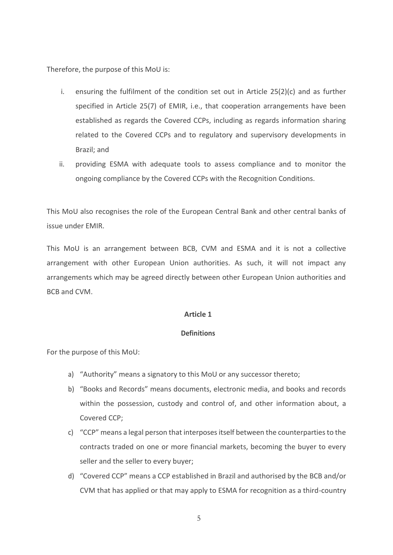Therefore, the purpose of this MoU is:

- i. ensuring the fulfilment of the condition set out in Article  $25(2)(c)$  and as further specified in Article 25(7) of EMIR, i.e., that cooperation arrangements have been established as regards the Covered CCPs, including as regards information sharing related to the Covered CCPs and to regulatory and supervisory developments in Brazil; and
- ii. providing ESMA with adequate tools to assess compliance and to monitor the ongoing compliance by the Covered CCPs with the Recognition Conditions.

This MoU also recognises the role of the European Central Bank and other central banks of issue under EMIR.

This MoU is an arrangement between BCB, CVM and ESMA and it is not a collective arrangement with other European Union authorities. As such, it will not impact any arrangements which may be agreed directly between other European Union authorities and BCB and CVM.

## **Article 1**

## **Definitions**

For the purpose of this MoU:

- a) "Authority" means a signatory to this MoU or any successor thereto;
- b) "Books and Records" means documents, electronic media, and books and records within the possession, custody and control of, and other information about, a Covered CCP;
- c) "CCP" means a legal person that interposes itself between the counterparties to the contracts traded on one or more financial markets, becoming the buyer to every seller and the seller to every buyer;
- d) "Covered CCP" means a CCP established in Brazil and authorised by the BCB and/or CVM that has applied or that may apply to ESMA for recognition as a third-country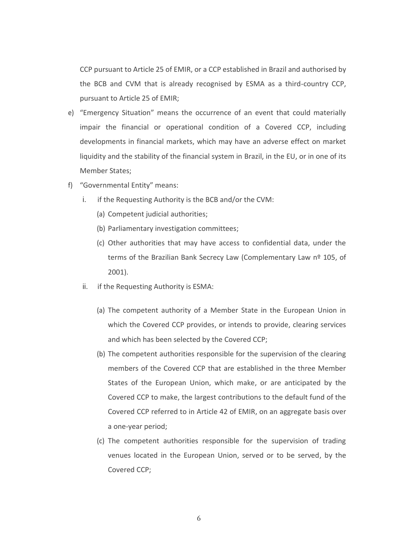CCP pursuant to Article 25 of EMIR, or a CCP established in Brazil and authorised by the BCB and CVM that is already recognised by ESMA as a third-country CCP, pursuant to Article 25 of EMIR;

- e) "Emergency Situation" means the occurrence of an event that could materially impair the financial or operational condition of a Covered CCP, including developments in financial markets, which may have an adverse effect on market liquidity and the stability of the financial system in Brazil, in the EU, or in one of its Member States;
- f) "Governmental Entity" means:
	- i. if the Requesting Authority is the BCB and/or the CVM:
		- (a) Competent judicial authorities;
		- (b) Parliamentary investigation committees;
		- (c) Other authorities that may have access to confidential data, under the terms of the Brazilian Bank Secrecy Law (Complementary Law nº 105, of 2001).
	- ii. if the Requesting Authority is ESMA:
		- (a) The competent authority of a Member State in the European Union in which the Covered CCP provides, or intends to provide, clearing services and which has been selected by the Covered CCP;
		- (b) The competent authorities responsible for the supervision of the clearing members of the Covered CCP that are established in the three Member States of the European Union, which make, or are anticipated by the Covered CCP to make, the largest contributions to the default fund of the Covered CCP referred to in Article 42 of EMIR, on an aggregate basis over a one-year period;
		- (c) The competent authorities responsible for the supervision of trading venues located in the European Union, served or to be served, by the Covered CCP;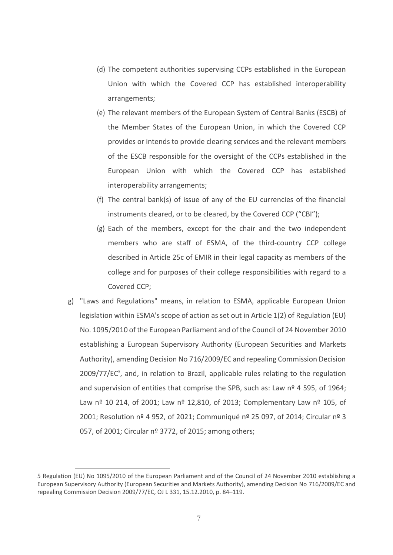- (d) The competent authorities supervising CCPs established in the European Union with which the Covered CCP has established interoperability arrangements;
- (e) The relevant members of the European System of Central Banks (ESCB) of the Member States of the European Union, in which the Covered CCP provides or intends to provide clearing services and the relevant members of the ESCB responsible for the oversight of the CCPs established in the European Union with which the Covered CCP has established interoperability arrangements;
- (f) The central bank(s) of issue of any of the EU currencies of the financial instruments cleared, or to be cleared, by the Covered CCP ("CBI");
- (g) Each of the members, except for the chair and the two independent members who are staff of ESMA, of the third-country CCP college described in Article 25c of EMIR in their legal capacity as members of the college and for purposes of their college responsibilities with regard to a Covered CCP;
- g) "Laws and Regulations" means, in relation to ESMA, applicable European Union legislation within ESMA's scope of action as set out in Article 1(2) of Regulation (EU) No. 1095/2010 of the European Parliament and of the Council of 24 November 2010 establishing a European Supervisory Authority (European Securities and Markets Authority), amending Decision No 716/2009/EC and repealing Commission Decision  $2009/77/EC<sup>5</sup>$ , and, in relation to Brazil, applicable rules relating to the regulation and supervision of entities that comprise the SPB, such as: Law nº 4 595, of 1964; Law nº 10 214, of 2001; Law nº 12,810, of 2013; Complementary Law nº 105, of 2001; Resolution nº 4 952, of 2021; Communiqué nº 25 097, of 2014; Circular nº 3 057, of 2001; Circular nº 3772, of 2015; among others;

<sup>5</sup> Regulation (EU) No 1095/2010 of the European Parliament and of the Council of 24 November 2010 establishing a European Supervisory Authority (European Securities and Markets Authority), amending Decision No 716/2009/EC and repealing Commission Decision 2009/77/EC, OJ L 331, 15.12.2010, p. 84–119.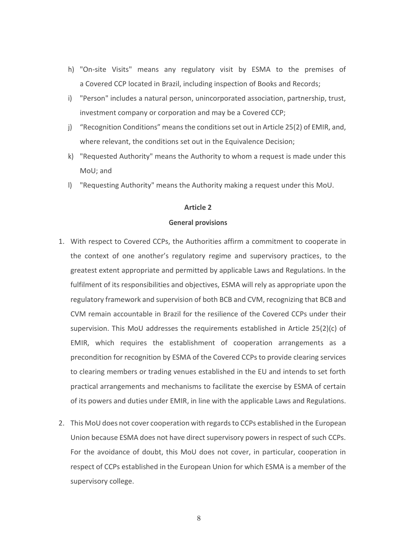- h) "On-site Visits" means any regulatory visit by ESMA to the premises of a Covered CCP located in Brazil, including inspection of Books and Records;
- i) "Person" includes a natural person, unincorporated association, partnership, trust, investment company or corporation and may be a Covered CCP;
- j) "Recognition Conditions" means the conditions set out in Article 25(2) of EMIR, and, where relevant, the conditions set out in the Equivalence Decision;
- k) "Requested Authority" means the Authority to whom a request is made under this MoU; and
- l) "Requesting Authority" means the Authority making a request under this MoU.

#### **General provisions**

- 1. With respect to Covered CCPs, the Authorities affirm a commitment to cooperate in the context of one another's regulatory regime and supervisory practices, to the greatest extent appropriate and permitted by applicable Laws and Regulations. In the fulfilment of its responsibilities and objectives, ESMA will rely as appropriate upon the regulatory framework and supervision of both BCB and CVM, recognizing that BCB and CVM remain accountable in Brazil for the resilience of the Covered CCPs under their supervision. This MoU addresses the requirements established in Article 25(2)(c) of EMIR, which requires the establishment of cooperation arrangements as a precondition for recognition by ESMA of the Covered CCPs to provide clearing services to clearing members or trading venues established in the EU and intends to set forth practical arrangements and mechanisms to facilitate the exercise by ESMA of certain of its powers and duties under EMIR, in line with the applicable Laws and Regulations.
- 2. This MoU does not cover cooperation with regards to CCPs established in the European Union because ESMA does not have direct supervisory powers in respect of such CCPs. For the avoidance of doubt, this MoU does not cover, in particular, cooperation in respect of CCPs established in the European Union for which ESMA is a member of the supervisory college.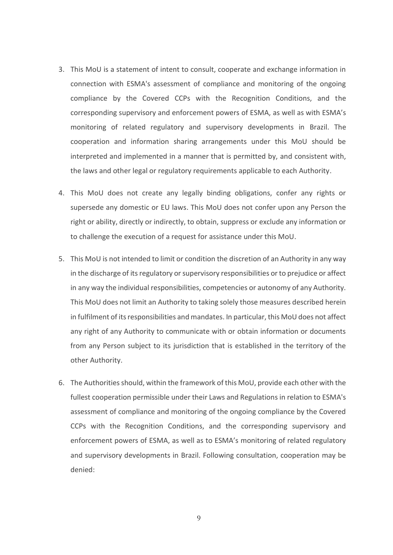- 3. This MoU is a statement of intent to consult, cooperate and exchange information in connection with ESMA's assessment of compliance and monitoring of the ongoing compliance by the Covered CCPs with the Recognition Conditions, and the corresponding supervisory and enforcement powers of ESMA, as well as with ESMA's monitoring of related regulatory and supervisory developments in Brazil. The cooperation and information sharing arrangements under this MoU should be interpreted and implemented in a manner that is permitted by, and consistent with, the laws and other legal or regulatory requirements applicable to each Authority.
- 4. This MoU does not create any legally binding obligations, confer any rights or supersede any domestic or EU laws. This MoU does not confer upon any Person the right or ability, directly or indirectly, to obtain, suppress or exclude any information or to challenge the execution of a request for assistance under this MoU.
- 5. This MoU is not intended to limit or condition the discretion of an Authority in any way in the discharge of its regulatory or supervisory responsibilities or to prejudice or affect in any way the individual responsibilities, competencies or autonomy of any Authority. This MoU does not limit an Authority to taking solely those measures described herein in fulfilment of its responsibilities and mandates. In particular, this MoU does not affect any right of any Authority to communicate with or obtain information or documents from any Person subject to its jurisdiction that is established in the territory of the other Authority.
- 6. The Authorities should, within the framework of this MoU, provide each other with the fullest cooperation permissible under their Laws and Regulations in relation to ESMA's assessment of compliance and monitoring of the ongoing compliance by the Covered CCPs with the Recognition Conditions, and the corresponding supervisory and enforcement powers of ESMA, as well as to ESMA's monitoring of related regulatory and supervisory developments in Brazil. Following consultation, cooperation may be denied: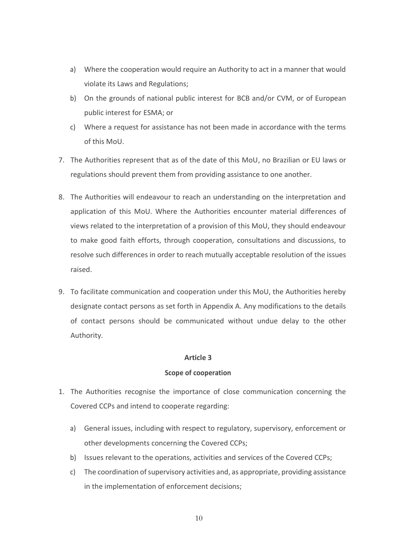- a) Where the cooperation would require an Authority to act in a manner that would violate its Laws and Regulations;
- b) On the grounds of national public interest for BCB and/or CVM, or of European public interest for ESMA; or
- c) Where a request for assistance has not been made in accordance with the terms of this MoU.
- 7. The Authorities represent that as of the date of this MoU, no Brazilian or EU laws or regulations should prevent them from providing assistance to one another.
- 8. The Authorities will endeavour to reach an understanding on the interpretation and application of this MoU. Where the Authorities encounter material differences of views related to the interpretation of a provision of this MoU, they should endeavour to make good faith efforts, through cooperation, consultations and discussions, to resolve such differences in order to reach mutually acceptable resolution of the issues raised.
- 9. To facilitate communication and cooperation under this MoU, the Authorities hereby designate contact persons as set forth in Appendix A. Any modifications to the details of contact persons should be communicated without undue delay to the other Authority.

## **Scope of cooperation**

- 1. The Authorities recognise the importance of close communication concerning the Covered CCPs and intend to cooperate regarding:
	- a) General issues, including with respect to regulatory, supervisory, enforcement or other developments concerning the Covered CCPs;
	- b) Issues relevant to the operations, activities and services of the Covered CCPs;
	- c) The coordination of supervisory activities and, as appropriate, providing assistance in the implementation of enforcement decisions;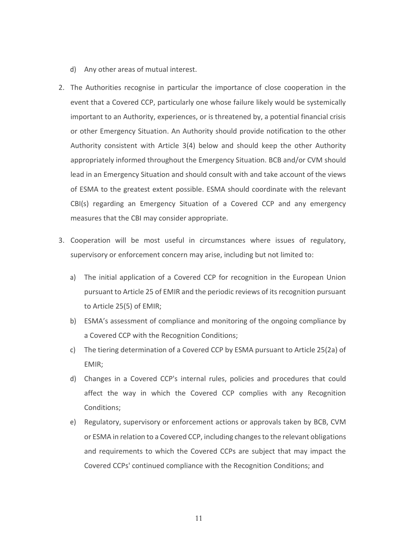- d) Any other areas of mutual interest.
- 2. The Authorities recognise in particular the importance of close cooperation in the event that a Covered CCP, particularly one whose failure likely would be systemically important to an Authority, experiences, or is threatened by, a potential financial crisis or other Emergency Situation. An Authority should provide notification to the other Authority consistent with Article 3(4) below and should keep the other Authority appropriately informed throughout the Emergency Situation. BCB and/or CVM should lead in an Emergency Situation and should consult with and take account of the views of ESMA to the greatest extent possible. ESMA should coordinate with the relevant CBI(s) regarding an Emergency Situation of a Covered CCP and any emergency measures that the CBI may consider appropriate.
- 3. Cooperation will be most useful in circumstances where issues of regulatory, supervisory or enforcement concern may arise, including but not limited to:
	- a) The initial application of a Covered CCP for recognition in the European Union pursuant to Article 25 of EMIR and the periodic reviews of its recognition pursuant to Article 25(5) of EMIR;
	- b) ESMA's assessment of compliance and monitoring of the ongoing compliance by a Covered CCP with the Recognition Conditions;
	- c) The tiering determination of a Covered CCP by ESMA pursuant to Article 25(2a) of EMIR;
	- d) Changes in a Covered CCP's internal rules, policies and procedures that could affect the way in which the Covered CCP complies with any Recognition Conditions;
	- e) Regulatory, supervisory or enforcement actions or approvals taken by BCB, CVM or ESMA in relation to a Covered CCP, including changes to the relevant obligations and requirements to which the Covered CCPs are subject that may impact the Covered CCPs' continued compliance with the Recognition Conditions; and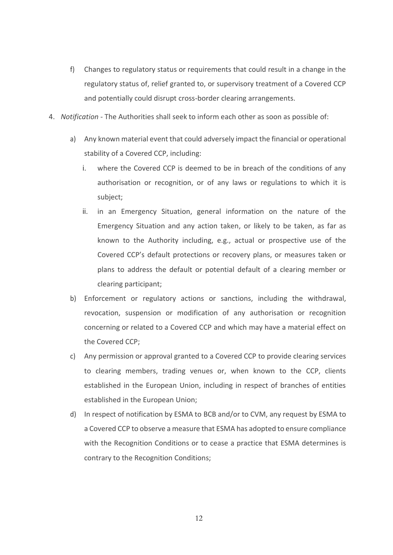- f) Changes to regulatory status or requirements that could result in a change in the regulatory status of, relief granted to, or supervisory treatment of a Covered CCP and potentially could disrupt cross-border clearing arrangements.
- 4. *Notification* The Authorities shall seek to inform each other as soon as possible of:
	- a) Any known material event that could adversely impact the financial or operational stability of a Covered CCP, including:
		- i. where the Covered CCP is deemed to be in breach of the conditions of any authorisation or recognition, or of any laws or regulations to which it is subject;
		- ii. in an Emergency Situation, general information on the nature of the Emergency Situation and any action taken, or likely to be taken, as far as known to the Authority including, e.g., actual or prospective use of the Covered CCP's default protections or recovery plans, or measures taken or plans to address the default or potential default of a clearing member or clearing participant;
	- b) Enforcement or regulatory actions or sanctions, including the withdrawal, revocation, suspension or modification of any authorisation or recognition concerning or related to a Covered CCP and which may have a material effect on the Covered CCP;
	- c) Any permission or approval granted to a Covered CCP to provide clearing services to clearing members, trading venues or, when known to the CCP, clients established in the European Union, including in respect of branches of entities established in the European Union;
	- d) In respect of notification by ESMA to BCB and/or to CVM, any request by ESMA to a Covered CCP to observe a measure that ESMA has adopted to ensure compliance with the Recognition Conditions or to cease a practice that ESMA determines is contrary to the Recognition Conditions;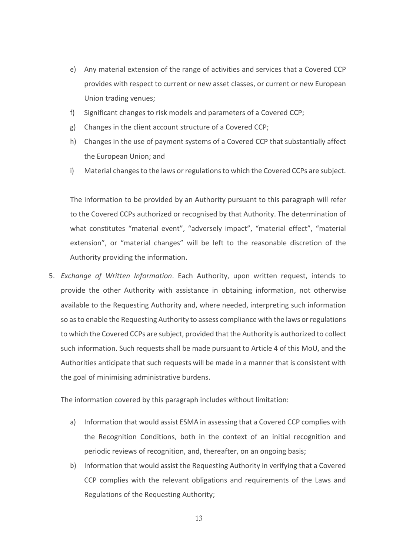- e) Any material extension of the range of activities and services that a Covered CCP provides with respect to current or new asset classes, or current or new European Union trading venues;
- f) Significant changes to risk models and parameters of a Covered CCP;
- g) Changes in the client account structure of a Covered CCP;
- h) Changes in the use of payment systems of a Covered CCP that substantially affect the European Union; and
- i) Material changes to the laws or regulations to which the Covered CCPs are subject.

The information to be provided by an Authority pursuant to this paragraph will refer to the Covered CCPs authorized or recognised by that Authority. The determination of what constitutes "material event", "adversely impact", "material effect", "material extension", or "material changes" will be left to the reasonable discretion of the Authority providing the information.

5. *Exchange of Written Information*. Each Authority, upon written request, intends to provide the other Authority with assistance in obtaining information, not otherwise available to the Requesting Authority and, where needed, interpreting such information so as to enable the Requesting Authority to assess compliance with the laws or regulations to which the Covered CCPs are subject, provided that the Authority is authorized to collect such information. Such requests shall be made pursuant to Article 4 of this MoU, and the Authorities anticipate that such requests will be made in a manner that is consistent with the goal of minimising administrative burdens.

The information covered by this paragraph includes without limitation:

- a) Information that would assist ESMA in assessing that a Covered CCP complies with the Recognition Conditions, both in the context of an initial recognition and periodic reviews of recognition, and, thereafter, on an ongoing basis;
- b) Information that would assist the Requesting Authority in verifying that a Covered CCP complies with the relevant obligations and requirements of the Laws and Regulations of the Requesting Authority;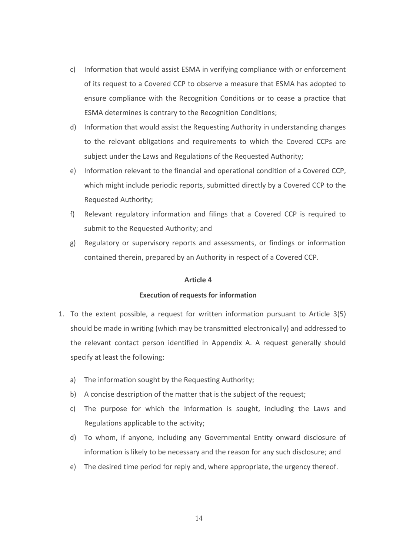- c) Information that would assist ESMA in verifying compliance with or enforcement of its request to a Covered CCP to observe a measure that ESMA has adopted to ensure compliance with the Recognition Conditions or to cease a practice that ESMA determines is contrary to the Recognition Conditions;
- d) Information that would assist the Requesting Authority in understanding changes to the relevant obligations and requirements to which the Covered CCPs are subject under the Laws and Regulations of the Requested Authority;
- e) Information relevant to the financial and operational condition of a Covered CCP, which might include periodic reports, submitted directly by a Covered CCP to the Requested Authority;
- f) Relevant regulatory information and filings that a Covered CCP is required to submit to the Requested Authority; and
- g) Regulatory or supervisory reports and assessments, or findings or information contained therein, prepared by an Authority in respect of a Covered CCP.

## **Execution of requests for information**

- 1. To the extent possible, a request for written information pursuant to Article 3(5) should be made in writing (which may be transmitted electronically) and addressed to the relevant contact person identified in Appendix A. A request generally should specify at least the following:
	- a) The information sought by the Requesting Authority;
	- b) A concise description of the matter that is the subject of the request;
	- c) The purpose for which the information is sought, including the Laws and Regulations applicable to the activity;
	- d) To whom, if anyone, including any Governmental Entity onward disclosure of information is likely to be necessary and the reason for any such disclosure; and
	- e) The desired time period for reply and, where appropriate, the urgency thereof.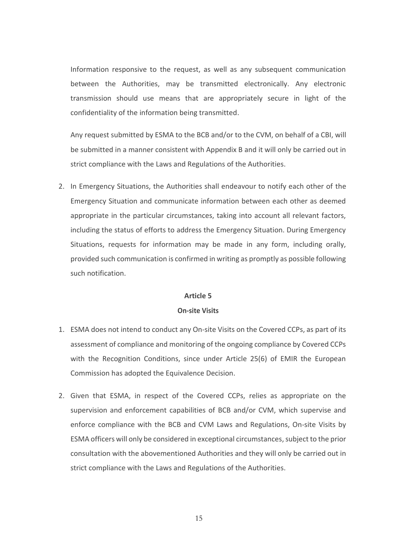Information responsive to the request, as well as any subsequent communication between the Authorities, may be transmitted electronically. Any electronic transmission should use means that are appropriately secure in light of the confidentiality of the information being transmitted.

Any request submitted by ESMA to the BCB and/or to the CVM, on behalf of a CBI, will be submitted in a manner consistent with Appendix B and it will only be carried out in strict compliance with the Laws and Regulations of the Authorities.

2. In Emergency Situations, the Authorities shall endeavour to notify each other of the Emergency Situation and communicate information between each other as deemed appropriate in the particular circumstances, taking into account all relevant factors, including the status of efforts to address the Emergency Situation. During Emergency Situations, requests for information may be made in any form, including orally, provided such communication is confirmed in writing as promptly as possible following such notification.

#### **Article 5**

#### **On-site Visits**

- 1. ESMA does not intend to conduct any On-site Visits on the Covered CCPs, as part of its assessment of compliance and monitoring of the ongoing compliance by Covered CCPs with the Recognition Conditions, since under Article 25(6) of EMIR the European Commission has adopted the Equivalence Decision.
- 2. Given that ESMA, in respect of the Covered CCPs, relies as appropriate on the supervision and enforcement capabilities of BCB and/or CVM, which supervise and enforce compliance with the BCB and CVM Laws and Regulations, On-site Visits by ESMA officers will only be considered in exceptional circumstances, subject to the prior consultation with the abovementioned Authorities and they will only be carried out in strict compliance with the Laws and Regulations of the Authorities.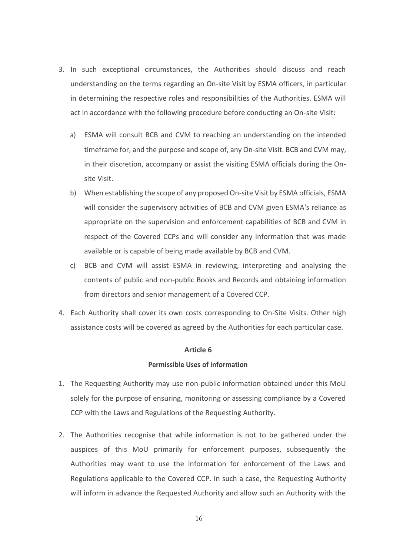- 3. In such exceptional circumstances, the Authorities should discuss and reach understanding on the terms regarding an On-site Visit by ESMA officers, in particular in determining the respective roles and responsibilities of the Authorities. ESMA will act in accordance with the following procedure before conducting an On-site Visit:
	- a) ESMA will consult BCB and CVM to reaching an understanding on the intended timeframe for, and the purpose and scope of, any On-site Visit. BCB and CVM may, in their discretion, accompany or assist the visiting ESMA officials during the Onsite Visit.
	- b) When establishing the scope of any proposed On-site Visit by ESMA officials, ESMA will consider the supervisory activities of BCB and CVM given ESMA's reliance as appropriate on the supervision and enforcement capabilities of BCB and CVM in respect of the Covered CCPs and will consider any information that was made available or is capable of being made available by BCB and CVM.
	- c) BCB and CVM will assist ESMA in reviewing, interpreting and analysing the contents of public and non-public Books and Records and obtaining information from directors and senior management of a Covered CCP.
- 4. Each Authority shall cover its own costs corresponding to On-Site Visits. Other high assistance costs will be covered as agreed by the Authorities for each particular case.

#### **Permissible Uses of information**

- 1. The Requesting Authority may use non-public information obtained under this MoU solely for the purpose of ensuring, monitoring or assessing compliance by a Covered CCP with the Laws and Regulations of the Requesting Authority.
- 2. The Authorities recognise that while information is not to be gathered under the auspices of this MoU primarily for enforcement purposes, subsequently the Authorities may want to use the information for enforcement of the Laws and Regulations applicable to the Covered CCP. In such a case, the Requesting Authority will inform in advance the Requested Authority and allow such an Authority with the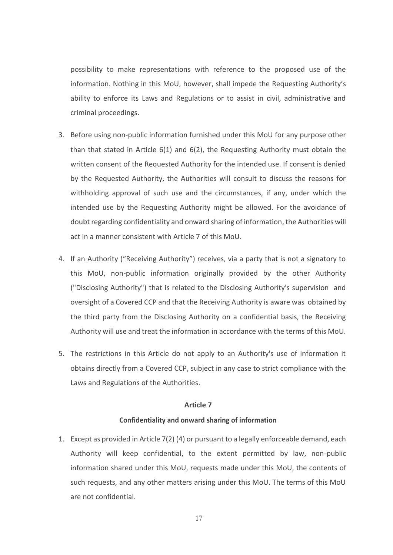possibility to make representations with reference to the proposed use of the information. Nothing in this MoU, however, shall impede the Requesting Authority's ability to enforce its Laws and Regulations or to assist in civil, administrative and criminal proceedings.

- 3. Before using non-public information furnished under this MoU for any purpose other than that stated in Article  $6(1)$  and  $6(2)$ , the Requesting Authority must obtain the written consent of the Requested Authority for the intended use. If consent is denied by the Requested Authority, the Authorities will consult to discuss the reasons for withholding approval of such use and the circumstances, if any, under which the intended use by the Requesting Authority might be allowed. For the avoidance of doubt regarding confidentiality and onward sharing of information, the Authorities will act in a manner consistent with Article 7 of this MoU.
- 4. If an Authority ("Receiving Authority") receives, via a party that is not a signatory to this MoU, non-public information originally provided by the other Authority ("Disclosing Authority") that is related to the Disclosing Authority's supervision and oversight of a Covered CCP and that the Receiving Authority is aware was obtained by the third party from the Disclosing Authority on a confidential basis, the Receiving Authority will use and treat the information in accordance with the terms of this MoU.
- 5. The restrictions in this Article do not apply to an Authority's use of information it obtains directly from a Covered CCP, subject in any case to strict compliance with the Laws and Regulations of the Authorities.

#### **Article 7**

#### **Confidentiality and onward sharing of information**

1. Except as provided in Article 7(2) (4) or pursuant to a legally enforceable demand, each Authority will keep confidential, to the extent permitted by law, non-public information shared under this MoU, requests made under this MoU, the contents of such requests, and any other matters arising under this MoU. The terms of this MoU are not confidential.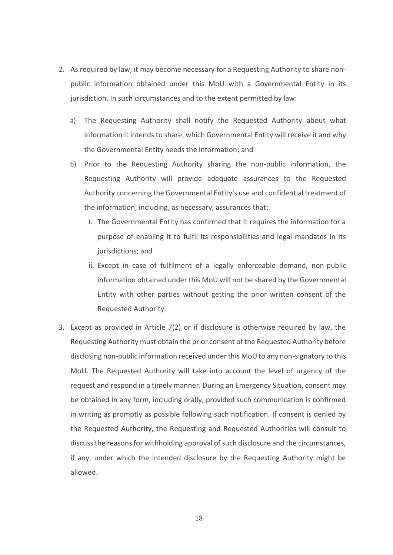- 2. As required by law, it may become necessary for a Requesting Authority to share nonpublic information obtained under this MoU with a Governmental Entity in its jurisdiction. In such circumstances and to the extent permitted by law:
	- a) The Requesting Authority shall notify the Requested Authority about what information it intends to share, which Governmental Entity will receive it and why the Governmental Entity needs the information; and
	- b) Prior to the Requesting Authority sharing the non-public information, the Requesting Authority will provide adequate assurances to the Requested Authority concerning the Governmental Entity's use and confidential treatment of the information, including, as necessary, assurances that:
		- i. The Governmental Entity has confirmed that it requires the information for a purpose of enabling it to fulfil its responsibilities and legal mandates in its jurisdictions; and
		- ii. Except in case of fulfilment of a legally enforceable demand, non-public information obtained under this MoU will not be shared by the Governmental Entity with other parties without getting the prior written consent of the Requested Authority.
- 3. Except as provided in Article 7(2) or if disclosure is otherwise required by law, the Requesting Authority must obtain the prior consent of the Requested Authority before disclosing non-public information received under this MoU to any non-signatory to this MoU. The Requested Authority will take into account the level of urgency of the request and respond in a timely manner. During an Emergency Situation, consent may be obtained in any form, including orally, provided such communication is confirmed in writing as promptly as possible following such notification. If consent is denied by the Requested Authority, the Requesting and Requested Authorities will consult to discuss the reasons for withholding approval of such disclosure and the circumstances, if any, under which the intended disclosure by the Requesting Authority might be allowed.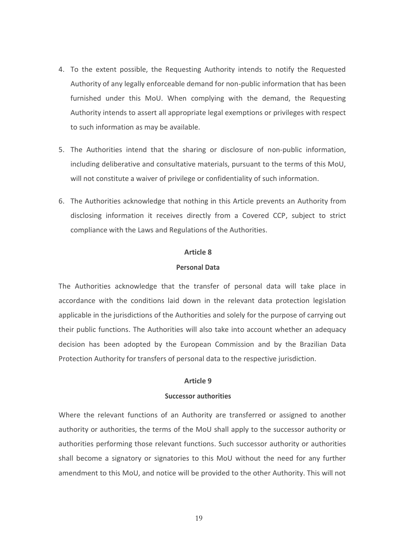- 4. To the extent possible, the Requesting Authority intends to notify the Requested Authority of any legally enforceable demand for non-public information that has been furnished under this MoU. When complying with the demand, the Requesting Authority intends to assert all appropriate legal exemptions or privileges with respect to such information as may be available.
- 5. The Authorities intend that the sharing or disclosure of non-public information, including deliberative and consultative materials, pursuant to the terms of this MoU, will not constitute a waiver of privilege or confidentiality of such information.
- 6. The Authorities acknowledge that nothing in this Article prevents an Authority from disclosing information it receives directly from a Covered CCP, subject to strict compliance with the Laws and Regulations of the Authorities.

### **Personal Data**

The Authorities acknowledge that the transfer of personal data will take place in accordance with the conditions laid down in the relevant data protection legislation applicable in the jurisdictions of the Authorities and solely for the purpose of carrying out their public functions. The Authorities will also take into account whether an adequacy decision has been adopted by the European Commission and by the Brazilian Data Protection Authority for transfers of personal data to the respective jurisdiction.

#### **Article 9**

#### **Successor authorities**

Where the relevant functions of an Authority are transferred or assigned to another authority or authorities, the terms of the MoU shall apply to the successor authority or authorities performing those relevant functions. Such successor authority or authorities shall become a signatory or signatories to this MoU without the need for any further amendment to this MoU, and notice will be provided to the other Authority. This will not

19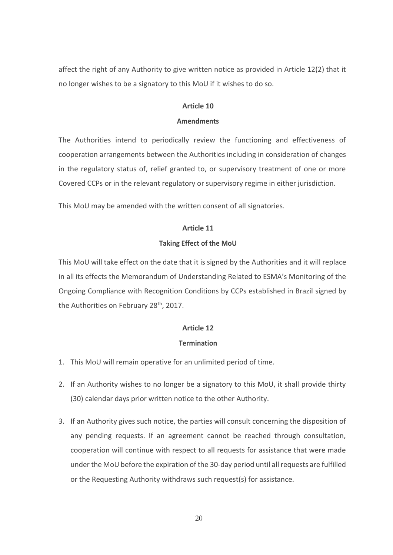affect the right of any Authority to give written notice as provided in Article 12(2) that it no longer wishes to be a signatory to this MoU if it wishes to do so.

## **Article 10**

#### **Amendments**

The Authorities intend to periodically review the functioning and effectiveness of cooperation arrangements between the Authorities including in consideration of changes in the regulatory status of, relief granted to, or supervisory treatment of one or more Covered CCPs or in the relevant regulatory or supervisory regime in either jurisdiction.

This MoU may be amended with the written consent of all signatories.

## **Article 11**

## **Taking Effect of the MoU**

This MoU will take effect on the date that it is signed by the Authorities and it will replace in all its effects the Memorandum of Understanding Related to ESMA's Monitoring of the Ongoing Compliance with Recognition Conditions by CCPs established in Brazil signed by the Authorities on February 28<sup>th</sup>, 2017.

## **Article 12**

## **Termination**

- 1. This MoU will remain operative for an unlimited period of time.
- 2. If an Authority wishes to no longer be a signatory to this MoU, it shall provide thirty (30) calendar days prior written notice to the other Authority.
- 3. If an Authority gives such notice, the parties will consult concerning the disposition of any pending requests. If an agreement cannot be reached through consultation, cooperation will continue with respect to all requests for assistance that were made under the MoU before the expiration of the 30-day period until all requests are fulfilled or the Requesting Authority withdraws such request(s) for assistance.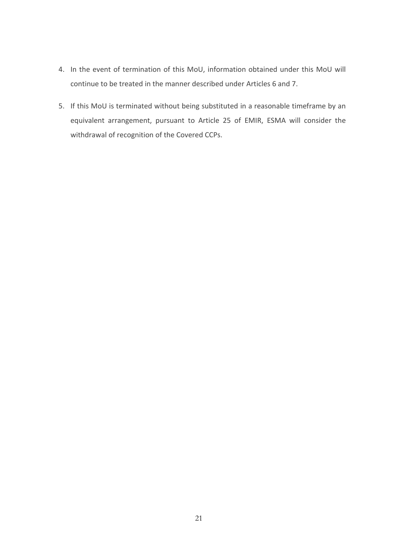- 4. In the event of termination of this MoU, information obtained under this MoU will continue to be treated in the manner described under Articles 6 and 7.
- 5. If this MoU is terminated without being substituted in a reasonable timeframe by an equivalent arrangement, pursuant to Article 25 of EMIR, ESMA will consider the withdrawal of recognition of the Covered CCPs.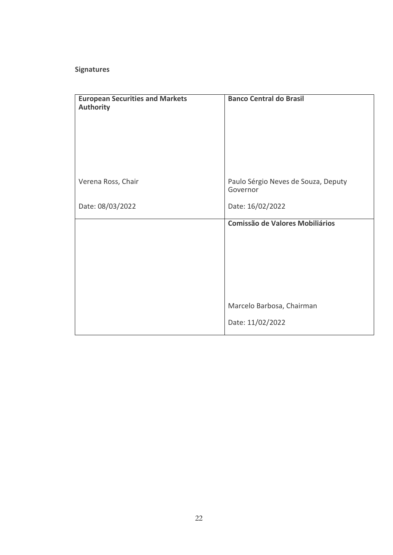## **Signatures**

| <b>European Securities and Markets</b><br><b>Authority</b> | <b>Banco Central do Brasil</b>                  |
|------------------------------------------------------------|-------------------------------------------------|
| Verena Ross, Chair                                         | Paulo Sérgio Neves de Souza, Deputy<br>Governor |
| Date: 08/03/2022                                           | Date: 16/02/2022                                |
|                                                            | <b>Comissão de Valores Mobiliários</b>          |
|                                                            | Marcelo Barbosa, Chairman                       |
|                                                            | Date: 11/02/2022                                |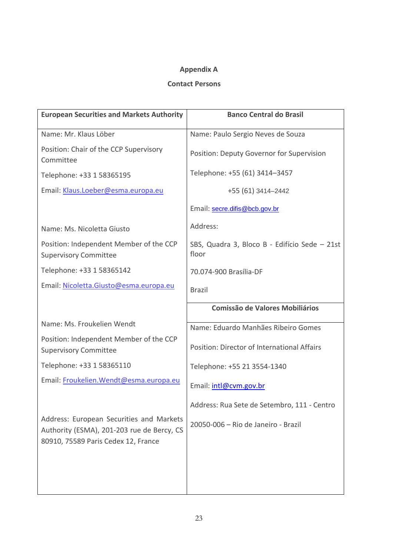## **Appendix A**

## **Contact Persons**

| <b>European Securities and Markets Authority</b>                                       | <b>Banco Central do Brasil</b>                         |
|----------------------------------------------------------------------------------------|--------------------------------------------------------|
| Name: Mr. Klaus Löber                                                                  | Name: Paulo Sergio Neves de Souza                      |
| Position: Chair of the CCP Supervisory<br>Committee                                    | Position: Deputy Governor for Supervision              |
| Telephone: +33 1 58365195                                                              | Telephone: +55 (61) 3414-3457                          |
| Email: Klaus.Loeber@esma.europa.eu                                                     | +55 (61) 3414-2442                                     |
|                                                                                        | Email: secre.difis@bcb.gov.br                          |
| Name: Ms. Nicoletta Giusto                                                             | Address:                                               |
| Position: Independent Member of the CCP<br><b>Supervisory Committee</b>                | SBS, Quadra 3, Bloco B - Edifício Sede - 21st<br>floor |
| Telephone: +33 1 58365142                                                              | 70.074-900 Brasília-DF                                 |
| Email: Nicoletta.Giusto@esma.europa.eu                                                 | <b>Brazil</b>                                          |
|                                                                                        | <b>Comissão de Valores Mobiliários</b>                 |
| Name: Ms. Froukelien Wendt                                                             | Name: Eduardo Manhães Ribeiro Gomes                    |
| Position: Independent Member of the CCP<br><b>Supervisory Committee</b>                | Position: Director of International Affairs            |
| Telephone: +33 1 58365110                                                              | Telephone: +55 21 3554-1340                            |
| Email: Froukelien. Wendt@esma.europa.eu                                                | Email: intl@cvm.gov.br                                 |
|                                                                                        | Address: Rua Sete de Setembro, 111 - Centro            |
| Address: European Securities and Markets<br>Authority (ESMA), 201-203 rue de Bercy, CS | 20050-006 - Rio de Janeiro - Brazil                    |
| 80910, 75589 Paris Cedex 12, France                                                    |                                                        |
|                                                                                        |                                                        |
|                                                                                        |                                                        |
|                                                                                        |                                                        |